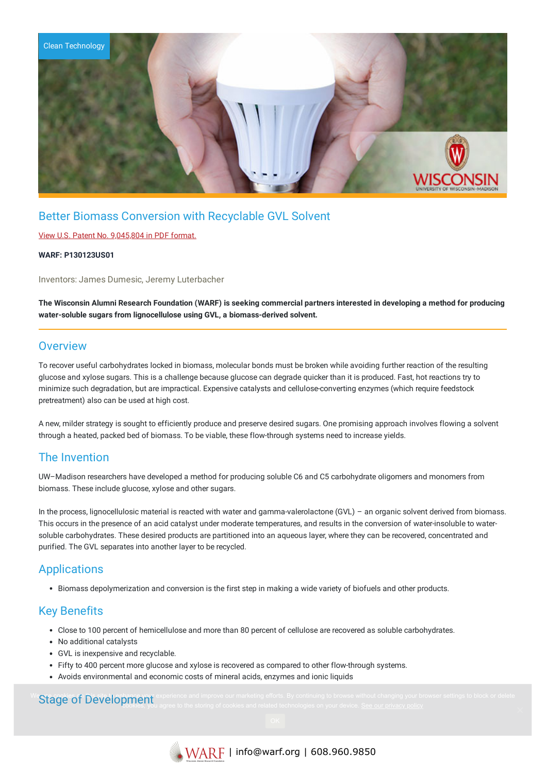

# Better Biomass Conversion with Recyclable GVL Solvent

#### View U.S. Patent No. [9,045,804](https://www.warf.org/wp-content/uploads/technologies/ipstatus/P130123US01.PDF) in PDF format.

#### **WARF: P130123US01**

Inventors: James Dumesic, Jeremy Luterbacher

The Wisconsin Alumni Research Foundation (WARF) is seeking commercial partners interested in developing a method for producing **water-soluble sugars from lignocellulose using GVL, a biomass-derived solvent.**

### **Overview**

To recover useful carbohydrates locked in biomass, molecular bonds must be broken while avoiding further reaction of the resulting glucose and xylose sugars. This is a challenge because glucose can degrade quicker than it is produced. Fast, hot reactions try to minimize such degradation, but are impractical. Expensive catalysts and cellulose-converting enzymes (which require feedstock pretreatment) also can be used at high cost.

A new, milder strategy is sought to efficiently produce and preserve desired sugars. One promising approach involves flowing a solvent through a heated, packed bed of biomass. To be viable, these flow-through systems need to increase yields.

# The Invention

UW–Madison researchers have developed a method for producing soluble C6 and C5 carbohydrate oligomers and monomers from biomass. These include glucose, xylose and other sugars.

In the process, lignocellulosic material is reacted with water and gamma-valerolactone (GVL) – an organic solvent derived from biomass. This occurs in the presence of an acid catalyst under moderate temperatures, and results in the conversion of water-insoluble to watersoluble carbohydrates. These desired products are partitioned into an aqueous layer, where they can be recovered, concentrated and purified. The GVL separates into another layer to be recycled.

# **Applications**

Biomass depolymerization and conversion is the first step in making a wide variety of biofuels and other products.

# Key Benefits

- Close to 100 percent of hemicellulose and more than 80 percent of cellulose are recovered as soluble carbohydrates.
- No additional catalysts
- GVL is inexpensive and recyclable.
- Fifty to 400 percent more glucose and xylose is recovered as compared to other flow-through systems.
- Avoids environmental and economic costs of mineral acids, enzymes and ionic liquids

#### We Stage of Development experience and improve our marketing efforts. By continuing to browse without changing your browser settings to block or delete cookies, you agree to the storing of cookies and related technologies on your device. [See our privacy policy](https://www.warf.org/privacy-policy/)